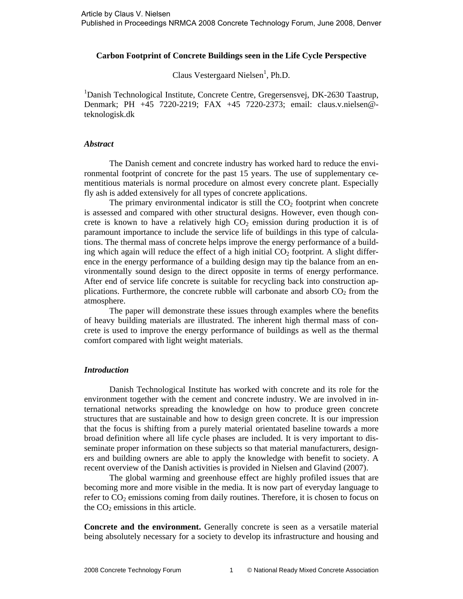#### **Carbon Footprint of Concrete Buildings seen in the Life Cycle Perspective**

Claus Vestergaard Nielsen<sup>1</sup>, Ph.D.

<sup>1</sup>Danish Technological Institute, Concrete Centre, Gregersensvej, DK-2630 Taastrup, Denmark; PH +45 7220-2219; FAX +45 7220-2373; email: claus.v.nielsen@ teknologisk.dk

#### *Abstract*

The Danish cement and concrete industry has worked hard to reduce the environmental footprint of concrete for the past 15 years. The use of supplementary cementitious materials is normal procedure on almost every concrete plant. Especially fly ash is added extensively for all types of concrete applications.

The primary environmental indicator is still the  $CO<sub>2</sub>$  footprint when concrete is assessed and compared with other structural designs. However, even though concrete is known to have a relatively high  $CO<sub>2</sub>$  emission during production it is of paramount importance to include the service life of buildings in this type of calculations. The thermal mass of concrete helps improve the energy performance of a building which again will reduce the effect of a high initial  $CO<sub>2</sub>$  footprint. A slight difference in the energy performance of a building design may tip the balance from an environmentally sound design to the direct opposite in terms of energy performance. After end of service life concrete is suitable for recycling back into construction applications. Furthermore, the concrete rubble will carbonate and absorb  $CO<sub>2</sub>$  from the atmosphere.

The paper will demonstrate these issues through examples where the benefits of heavy building materials are illustrated. The inherent high thermal mass of concrete is used to improve the energy performance of buildings as well as the thermal comfort compared with light weight materials.

### *Introduction*

Danish Technological Institute has worked with concrete and its role for the environment together with the cement and concrete industry. We are involved in international networks spreading the knowledge on how to produce green concrete structures that are sustainable and how to design green concrete. It is our impression that the focus is shifting from a purely material orientated baseline towards a more broad definition where all life cycle phases are included. It is very important to disseminate proper information on these subjects so that material manufacturers, designers and building owners are able to apply the knowledge with benefit to society. A recent overview of the Danish activities is provided in Nielsen and Glavind (2007).

The global warming and greenhouse effect are highly profiled issues that are becoming more and more visible in the media. It is now part of everyday language to refer to  $CO<sub>2</sub>$  emissions coming from daily routines. Therefore, it is chosen to focus on the  $CO<sub>2</sub>$  emissions in this article.

**Concrete and the environment.** Generally concrete is seen as a versatile material being absolutely necessary for a society to develop its infrastructure and housing and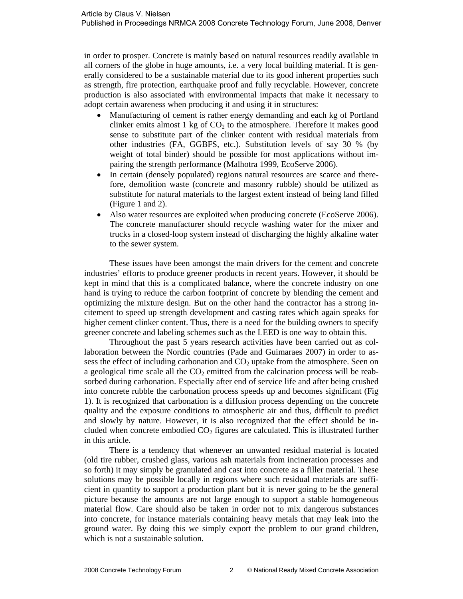in order to prosper. Concrete is mainly based on natural resources readily available in all corners of the globe in huge amounts, i.e. a very local building material. It is generally considered to be a sustainable material due to its good inherent properties such as strength, fire protection, earthquake proof and fully recyclable. However, concrete production is also associated with environmental impacts that make it necessary to adopt certain awareness when producing it and using it in structures:

- Manufacturing of cement is rather energy demanding and each kg of Portland clinker emits almost  $1 \text{ kg of } CO_2$  to the atmosphere. Therefore it makes good sense to substitute part of the clinker content with residual materials from other industries (FA, GGBFS, etc.). Substitution levels of say 30 % (by weight of total binder) should be possible for most applications without impairing the strength performance (Malhotra 1999, EcoServe 2006).
- In certain (densely populated) regions natural resources are scarce and therefore, demolition waste (concrete and masonry rubble) should be utilized as substitute for natural materials to the largest extent instead of being land filled (Figure 1 and 2).
- Also water resources are exploited when producing concrete (EcoServe 2006). The concrete manufacturer should recycle washing water for the mixer and trucks in a closed-loop system instead of discharging the highly alkaline water to the sewer system.

These issues have been amongst the main drivers for the cement and concrete industries' efforts to produce greener products in recent years. However, it should be kept in mind that this is a complicated balance, where the concrete industry on one hand is trying to reduce the carbon footprint of concrete by blending the cement and optimizing the mixture design. But on the other hand the contractor has a strong incitement to speed up strength development and casting rates which again speaks for higher cement clinker content. Thus, there is a need for the building owners to specify greener concrete and labeling schemes such as the LEED is one way to obtain this.

Throughout the past 5 years research activities have been carried out as collaboration between the Nordic countries (Pade and Guimaraes 2007) in order to assess the effect of including carbonation and  $CO<sub>2</sub>$  uptake from the atmosphere. Seen on a geological time scale all the  $CO<sub>2</sub>$  emitted from the calcination process will be reabsorbed during carbonation. Especially after end of service life and after being crushed into concrete rubble the carbonation process speeds up and becomes significant (Fig 1). It is recognized that carbonation is a diffusion process depending on the concrete quality and the exposure conditions to atmospheric air and thus, difficult to predict and slowly by nature. However, it is also recognized that the effect should be included when concrete embodied  $CO<sub>2</sub>$  figures are calculated. This is illustrated further in this article.

There is a tendency that whenever an unwanted residual material is located (old tire rubber, crushed glass, various ash materials from incineration processes and so forth) it may simply be granulated and cast into concrete as a filler material. These solutions may be possible locally in regions where such residual materials are sufficient in quantity to support a production plant but it is never going to be the general picture because the amounts are not large enough to support a stable homogeneous material flow. Care should also be taken in order not to mix dangerous substances into concrete, for instance materials containing heavy metals that may leak into the ground water. By doing this we simply export the problem to our grand children, which is not a sustainable solution.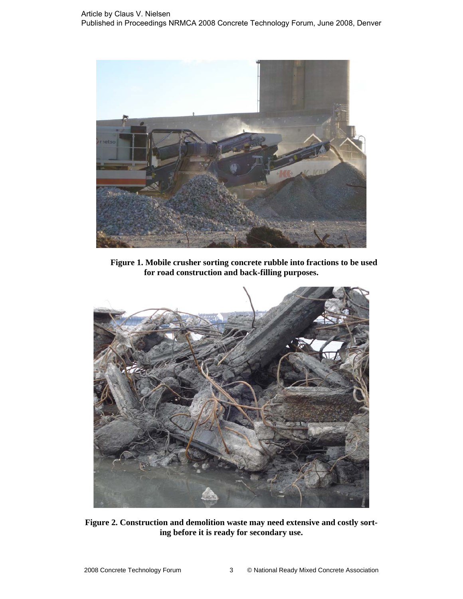

**Figure 1. Mobile crusher sorting concrete rubble into fractions to be used for road construction and back-filling purposes.** 



**Figure 2. Construction and demolition waste may need extensive and costly sorting before it is ready for secondary use.**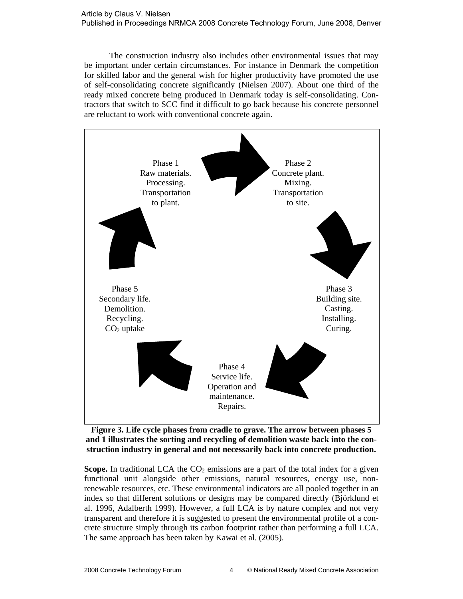The construction industry also includes other environmental issues that may be important under certain circumstances. For instance in Denmark the competition for skilled labor and the general wish for higher productivity have promoted the use of self-consolidating concrete significantly (Nielsen 2007). About one third of the ready mixed concrete being produced in Denmark today is self-consolidating. Contractors that switch to SCC find it difficult to go back because his concrete personnel are reluctant to work with conventional concrete again.



**Figure 3. Life cycle phases from cradle to grave. The arrow between phases 5 and 1 illustrates the sorting and recycling of demolition waste back into the construction industry in general and not necessarily back into concrete production.** 

**Scope.** In traditional LCA the  $CO<sub>2</sub>$  emissions are a part of the total index for a given functional unit alongside other emissions, natural resources, energy use, nonrenewable resources, etc. These environmental indicators are all pooled together in an index so that different solutions or designs may be compared directly (Björklund et al. 1996, Adalberth 1999). However, a full LCA is by nature complex and not very transparent and therefore it is suggested to present the environmental profile of a concrete structure simply through its carbon footprint rather than performing a full LCA. The same approach has been taken by Kawai et al. (2005).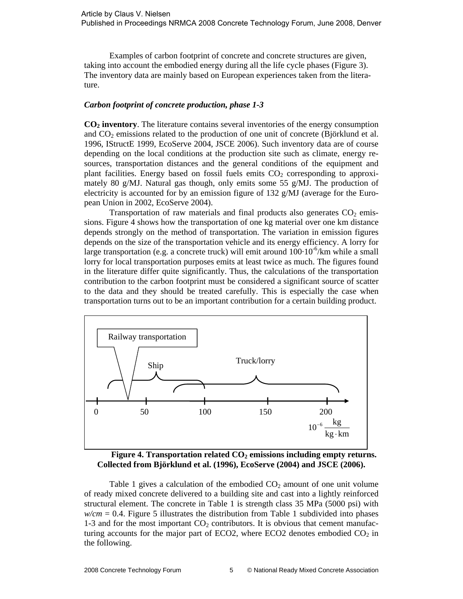Examples of carbon footprint of concrete and concrete structures are given, taking into account the embodied energy during all the life cycle phases (Figure 3). The inventory data are mainly based on European experiences taken from the literature.

## *Carbon footprint of concrete production, phase 1-3*

**CO2 inventory**. The literature contains several inventories of the energy consumption and  $CO<sub>2</sub>$  emissions related to the production of one unit of concrete (Björklund et al. 1996, IStructE 1999, EcoServe 2004, JSCE 2006). Such inventory data are of course depending on the local conditions at the production site such as climate, energy resources, transportation distances and the general conditions of the equipment and plant facilities. Energy based on fossil fuels emits  $CO<sub>2</sub>$  corresponding to approximately 80 g/MJ. Natural gas though, only emits some 55 g/MJ. The production of electricity is accounted for by an emission figure of 132 g/MJ (average for the European Union in 2002, EcoServe 2004).

Transportation of raw materials and final products also generates  $CO<sub>2</sub>$  emissions. Figure 4 shows how the transportation of one kg material over one km distance depends strongly on the method of transportation. The variation in emission figures depends on the size of the transportation vehicle and its energy efficiency. A lorry for large transportation (e.g. a concrete truck) will emit around  $100 \cdot 10^{-6}$ /km while a small lorry for local transportation purposes emits at least twice as much. The figures found in the literature differ quite significantly. Thus, the calculations of the transportation contribution to the carbon footprint must be considered a significant source of scatter to the data and they should be treated carefully. This is especially the case when transportation turns out to be an important contribution for a certain building product.



Figure 4. Transportation related CO<sub>2</sub> emissions including empty returns. **Collected from Björklund et al. (1996), EcoServe (2004) and JSCE (2006).** 

Table 1 gives a calculation of the embodied  $CO<sub>2</sub>$  amount of one unit volume of ready mixed concrete delivered to a building site and cast into a lightly reinforced structural element. The concrete in Table 1 is strength class 35 MPa (5000 psi) with  $w/cm = 0.4$ . Figure 5 illustrates the distribution from Table 1 subdivided into phases 1-3 and for the most important  $CO<sub>2</sub>$  contributors. It is obvious that cement manufacturing accounts for the major part of ECO2, where ECO2 denotes embodied  $CO<sub>2</sub>$  in the following.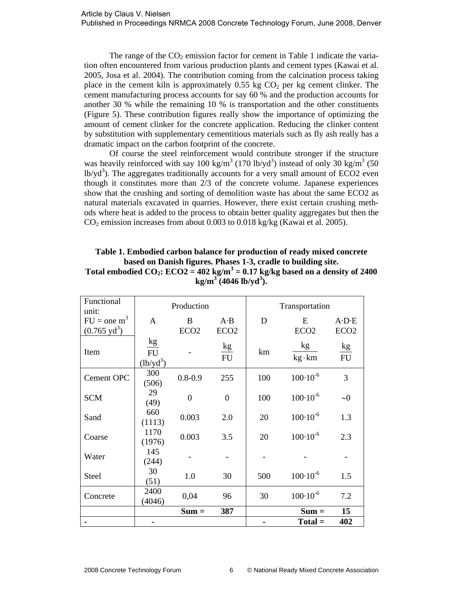The range of the  $CO<sub>2</sub>$  emission factor for cement in Table 1 indicate the variation often encountered from various production plants and cement types (Kawai et al. 2005, Josa et al. 2004). The contribution coming from the calcination process taking place in the cement kiln is approximately  $0.55$  kg  $CO<sub>2</sub>$  per kg cement clinker. The cement manufacturing process accounts for say 60 % and the production accounts for another 30 % while the remaining 10 % is transportation and the other constituents (Figure 5). These contribution figures really show the importance of optimizing the amount of cement clinker for the concrete application. Reducing the clinker content by substitution with supplementary cementitious materials such as fly ash really has a dramatic impact on the carbon footprint of the concrete.

Of course the steel reinforcement would contribute stronger if the structure was heavily reinforced with say 100 kg/m<sup>3</sup> (170 lb/yd<sup>3</sup>) instead of only 30 kg/m<sup>3</sup> (50  $\text{lb/yd}^3$ ). The aggregates traditionally accounts for a very small amount of ECO2 even though it constitutes more than 2/3 of the concrete volume. Japanese experiences show that the crushing and sorting of demolition waste has about the same ECO2 as natural materials excavated in quarries. However, there exist certain crushing methods where heat is added to the process to obtain better quality aggregates but then the CO2 emission increases from about 0.003 to 0.018 kg/kg (Kawai et al. 2005).

## **Table 1. Embodied carbon balance for production of ready mixed concrete based on Danish figures. Phases 1-3, cradle to building site.**  Total embodied  $CO_2$ :  $ECO2 = 402$  kg/m<sup>3</sup> = 0.17 kg/kg based on a density of 2400 **kg/m<sup>3</sup> (4046 lb/yd<sup>3</sup> ).**

| Functional<br>unit:                     | Production                     |                       |                                 | Transportation |                       |                                         |
|-----------------------------------------|--------------------------------|-----------------------|---------------------------------|----------------|-----------------------|-----------------------------------------|
| $FU = one m3$<br>$(0.765 \text{ yd}^3)$ | A                              | B<br>ECO <sub>2</sub> | $A \cdot B$<br>ECO <sub>2</sub> | D              | E<br>ECO <sub>2</sub> | $A \cdot D \cdot E$<br>ECO <sub>2</sub> |
| Item                                    | kg<br><b>FU</b><br>$(lb/yd^3)$ |                       | kg<br><b>FU</b>                 | km             | kg<br>$kg \cdot km$   | kg<br><b>FU</b>                         |
| Cement OPC                              | 300<br>(506)                   | $0.8 - 0.9$           | 255                             | 100            | $100 \cdot 10^{-6}$   | 3                                       |
| <b>SCM</b>                              | 29<br>(49)                     | $\theta$              | $\boldsymbol{0}$                | 100            | $100 \cdot 10^{-6}$   | $\sim 0$                                |
| Sand                                    | 660<br>(1113)                  | 0.003                 | 2.0                             | 20             | $100 \cdot 10^{-6}$   | 1.3                                     |
| Coarse                                  | 1170<br>(1976)                 | 0.003                 | 3.5                             | 20             | $100 \cdot 10^{-6}$   | 2.3                                     |
| Water                                   | 145<br>(244)                   |                       |                                 |                |                       |                                         |
| Steel                                   | 30<br>(51)                     | 1.0                   | 30                              | 500            | $100 \cdot 10^{-6}$   | 1.5                                     |
| Concrete                                | 2400<br>(4046)                 | 0,04                  | 96                              | 30             | $100 \cdot 10^{-6}$   | 7.2                                     |
|                                         |                                | $Sum =$               | 387                             |                | $Sum =$               | 15                                      |
|                                         |                                |                       |                                 |                | $Total =$             | 402                                     |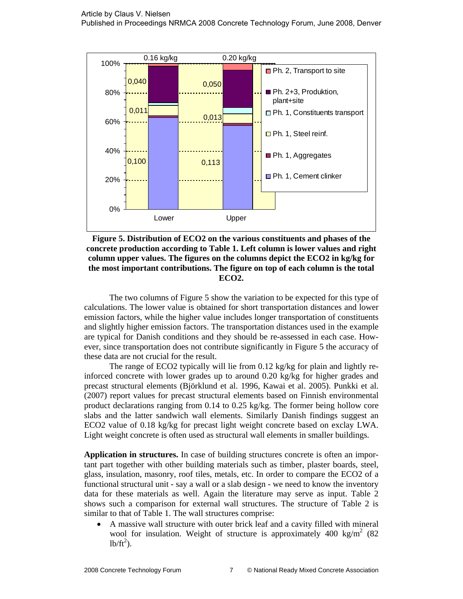

**Figure 5. Distribution of ECO2 on the various constituents and phases of the concrete production according to Table 1. Left column is lower values and right column upper values. The figures on the columns depict the ECO2 in kg/kg for the most important contributions. The figure on top of each column is the total ECO2.** 

The two columns of Figure 5 show the variation to be expected for this type of calculations. The lower value is obtained for short transportation distances and lower emission factors, while the higher value includes longer transportation of constituents and slightly higher emission factors. The transportation distances used in the example are typical for Danish conditions and they should be re-assessed in each case. However, since transportation does not contribute significantly in Figure 5 the accuracy of these data are not crucial for the result.

The range of ECO2 typically will lie from 0.12 kg/kg for plain and lightly reinforced concrete with lower grades up to around 0.20 kg/kg for higher grades and precast structural elements (Björklund et al. 1996, Kawai et al. 2005). Punkki et al. (2007) report values for precast structural elements based on Finnish environmental product declarations ranging from 0.14 to 0.25 kg/kg. The former being hollow core slabs and the latter sandwich wall elements. Similarly Danish findings suggest an ECO2 value of 0.18 kg/kg for precast light weight concrete based on exclay LWA. Light weight concrete is often used as structural wall elements in smaller buildings.

**Application in structures.** In case of building structures concrete is often an important part together with other building materials such as timber, plaster boards, steel, glass, insulation, masonry, roof tiles, metals, etc. In order to compare the ECO2 of a functional structural unit - say a wall or a slab design - we need to know the inventory data for these materials as well. Again the literature may serve as input. Table 2 shows such a comparison for external wall structures. The structure of Table 2 is similar to that of Table 1. The wall structures comprise:

• A massive wall structure with outer brick leaf and a cavity filled with mineral wool for insulation. Weight of structure is approximately 400 kg/m<sup>2</sup> (82)  $lb/ft^2$ ).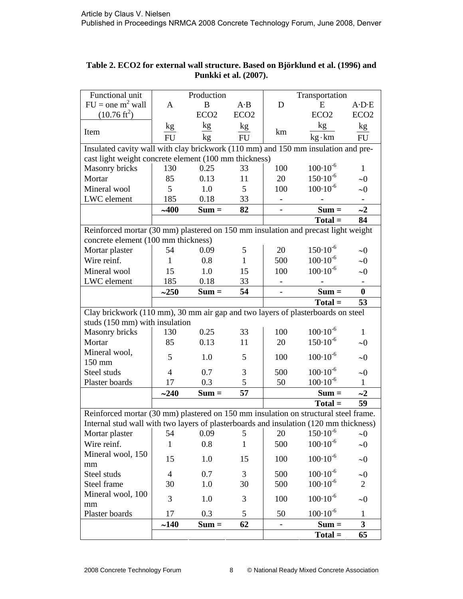| Functional unit                                                                                                                                                              | Production     |                  |                  | Transportation |                     |                          |  |  |
|------------------------------------------------------------------------------------------------------------------------------------------------------------------------------|----------------|------------------|------------------|----------------|---------------------|--------------------------|--|--|
| $FU =$ one m <sup>2</sup> wall                                                                                                                                               | A              | B                | $A \cdot B$      | D              | E                   | $A \cdot D \cdot E$      |  |  |
| $(10.76 \text{ ft}^2)$                                                                                                                                                       |                | ECO <sub>2</sub> | ECO <sub>2</sub> |                | ECO <sub>2</sub>    | ECO <sub>2</sub>         |  |  |
|                                                                                                                                                                              |                |                  |                  |                | kg                  |                          |  |  |
| Item                                                                                                                                                                         | kg             | kg               | kg               | km             |                     | kg                       |  |  |
|                                                                                                                                                                              | <b>FU</b>      | kg               | FU               |                | $kg \cdot km$       | FU                       |  |  |
| Insulated cavity wall with clay brickwork (110 mm) and 150 mm insulation and pre-                                                                                            |                |                  |                  |                |                     |                          |  |  |
| cast light weight concrete element (100 mm thickness)                                                                                                                        |                |                  |                  |                |                     |                          |  |  |
| <b>Masonry bricks</b>                                                                                                                                                        | 130            | 0.25             | 33               | 100            | $100 \cdot 10^{-6}$ | 1                        |  |  |
| Mortar                                                                                                                                                                       | 85             | 0.13             | 11               | 20             | $150 \cdot 10^{-6}$ | $\sim 0$                 |  |  |
| Mineral wool                                                                                                                                                                 | 5              | 1.0              | 5                | 100            | $100 \cdot 10^{-6}$ | $\sim 0$                 |  |  |
| LWC element                                                                                                                                                                  | 185            | 0.18             | 33               |                |                     |                          |  |  |
|                                                                                                                                                                              | ~100           | $Sum =$          | 82               |                | $Sum =$             | $\sim$ 2                 |  |  |
|                                                                                                                                                                              |                |                  |                  |                | $Total =$           | 84                       |  |  |
| Reinforced mortar (30 mm) plastered on 150 mm insulation and precast light weight                                                                                            |                |                  |                  |                |                     |                          |  |  |
| concrete element (100 mm thickness)                                                                                                                                          |                |                  |                  |                |                     |                          |  |  |
| Mortar plaster                                                                                                                                                               | 54             | 0.09             | 5                | 20             | $150 \cdot 10^{-6}$ | $\sim 0$                 |  |  |
| Wire reinf.                                                                                                                                                                  | 1              | 0.8              | 1                | 500            | $100 \cdot 10^{-6}$ | $\sim 0$                 |  |  |
| Mineral wool                                                                                                                                                                 | 15             | 1.0              | 15               | 100            | $100 \cdot 10^{-6}$ | $\sim 0$                 |  |  |
| LWC element                                                                                                                                                                  | 185            | 0.18             | 33               |                |                     | $\overline{\phantom{a}}$ |  |  |
|                                                                                                                                                                              | ~250           | $Sum =$          | 54               |                | $Sum =$             | $\bf{0}$                 |  |  |
|                                                                                                                                                                              |                |                  |                  |                | $Total =$           | 53                       |  |  |
| Clay brickwork (110 mm), 30 mm air gap and two layers of plasterboards on steel                                                                                              |                |                  |                  |                |                     |                          |  |  |
| studs (150 mm) with insulation                                                                                                                                               |                |                  |                  |                |                     |                          |  |  |
| Masonry bricks                                                                                                                                                               | 130            | 0.25             | 33               | 100            | $100 \cdot 10^{-6}$ | 1                        |  |  |
| Mortar                                                                                                                                                                       | 85             | 0.13             | 11               | 20             | $150 \cdot 10^{-6}$ | $\sim 0$                 |  |  |
| Mineral wool,                                                                                                                                                                |                |                  |                  |                |                     |                          |  |  |
| 150 mm                                                                                                                                                                       | 5              | 1.0              | 5                | 100            | $100 \cdot 10^{-6}$ | $\sim 0$                 |  |  |
| Steel studs                                                                                                                                                                  | $\overline{4}$ | 0.7              | 3                | 500            | $100 \cdot 10^{-6}$ | $\sim \!\! 0$            |  |  |
| Plaster boards                                                                                                                                                               | 17             | 0.3              | 5                | 50             | $100 \cdot 10^{-6}$ | 1                        |  |  |
|                                                                                                                                                                              | ~240           | $Sum =$          | 57               |                | $Sum =$             | $\sim$ 2                 |  |  |
|                                                                                                                                                                              |                |                  |                  |                | $Total =$           | 59                       |  |  |
|                                                                                                                                                                              |                |                  |                  |                |                     |                          |  |  |
| Reinforced mortar (30 mm) plastered on 150 mm insulation on structural steel frame.<br>Internal stud wall with two layers of plasterboards and insulation (120 mm thickness) |                |                  |                  |                |                     |                          |  |  |
| Mortar plaster                                                                                                                                                               | 54             | 0.09             | 5                | 20             | $150 \cdot 10^{-6}$ | $\sim 0$                 |  |  |
| Wire reinf.                                                                                                                                                                  | $\mathbf{1}$   | 0.8              | $\mathbf{1}$     | 500            | $100 \cdot 10^{-6}$ | $\sim 0$                 |  |  |
| Mineral wool, 150                                                                                                                                                            |                |                  |                  |                |                     |                          |  |  |
| mm                                                                                                                                                                           | 15             | 1.0              | 15               | 100            | $100 \cdot 10^{-6}$ | $\sim 0$                 |  |  |
| Steel studs                                                                                                                                                                  | $\overline{4}$ | 0.7              | 3                | 500            | $100 \cdot 10^{-6}$ | $\sim 0$                 |  |  |
| Steel frame                                                                                                                                                                  | 30             | 1.0              | 30               | 500            | $100 \cdot 10^{-6}$ | $\overline{2}$           |  |  |
| Mineral wool, 100                                                                                                                                                            |                |                  |                  |                |                     |                          |  |  |
| mm                                                                                                                                                                           | 3              | 1.0              | 3                | 100            | $100 \cdot 10^{-6}$ | $\sim 0$                 |  |  |
| Plaster boards                                                                                                                                                               | 17             | 0.3              | 5                | 50             | $100 \cdot 10^{-6}$ | $\mathbf{1}$             |  |  |
|                                                                                                                                                                              | ~140           | $Sum =$          | 62               |                | $Sum =$             | $\mathbf{3}$             |  |  |
|                                                                                                                                                                              |                |                  |                  |                | $Total =$           | 65                       |  |  |

# **Table 2. ECO2 for external wall structure. Based on Björklund et al. (1996) and Punkki et al. (2007).**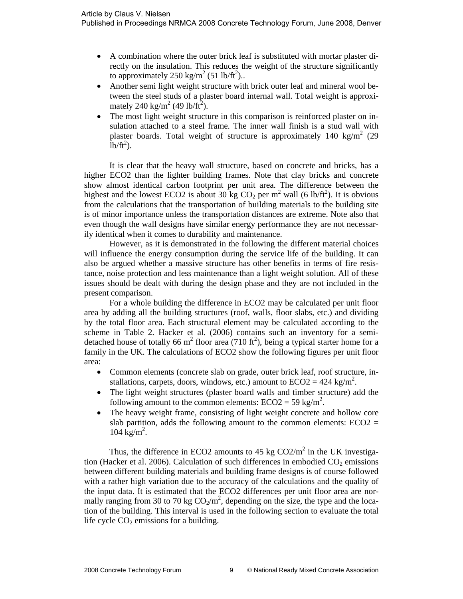- A combination where the outer brick leaf is substituted with mortar plaster directly on the insulation. This reduces the weight of the structure significantly to approximately 250 kg/m<sup>2</sup> (51 lb/ft<sup>2</sup>)..
- Another semi light weight structure with brick outer leaf and mineral wool between the steel studs of a plaster board internal wall. Total weight is approximately 240 kg/m<sup>2</sup> (49 lb/ft<sup>2</sup>).
- The most light weight structure in this comparison is reinforced plaster on insulation attached to a steel frame. The inner wall finish is a stud wall with plaster boards. Total weight of structure is approximately 140 kg/m<sup>2</sup> (29  $\mathrm{lb}/\mathrm{ft}^2$ ).

It is clear that the heavy wall structure, based on concrete and bricks, has a higher ECO2 than the lighter building frames. Note that clay bricks and concrete show almost identical carbon footprint per unit area. The difference between the highest and the lowest ECO2 is about 30 kg CO<sub>2</sub> per m<sup>2</sup> wall (6 lb/ft<sup>2</sup>). It is obvious from the calculations that the transportation of building materials to the building site is of minor importance unless the transportation distances are extreme. Note also that even though the wall designs have similar energy performance they are not necessarily identical when it comes to durability and maintenance.

However, as it is demonstrated in the following the different material choices will influence the energy consumption during the service life of the building. It can also be argued whether a massive structure has other benefits in terms of fire resistance, noise protection and less maintenance than a light weight solution. All of these issues should be dealt with during the design phase and they are not included in the present comparison.

For a whole building the difference in ECO2 may be calculated per unit floor area by adding all the building structures (roof, walls, floor slabs, etc.) and dividing by the total floor area. Each structural element may be calculated according to the scheme in Table 2. Hacker et al. (2006) contains such an inventory for a semidetached house of totally 66 m<sup>2</sup> floor area (710 ft<sup>2</sup>), being a typical starter home for a family in the UK. The calculations of ECO2 show the following figures per unit floor area:

- Common elements (concrete slab on grade, outer brick leaf, roof structure, installations, carpets, doors, windows, etc.) amount to  $ECO2 = 424$  kg/m<sup>2</sup>.
- The light weight structures (plaster board walls and timber structure) add the following amount to the common elements:  $ECO2 = 59$  kg/m<sup>2</sup>.
- The heavy weight frame, consisting of light weight concrete and hollow core slab partition, adds the following amount to the common elements:  $ECO2 =$  $104 \text{ kg/m}^2$ .

Thus, the difference in ECO2 amounts to 45 kg  $CO2/m^2$  in the UK investigation (Hacker et al. 2006). Calculation of such differences in embodied  $CO<sub>2</sub>$  emissions between different building materials and building frame designs is of course followed with a rather high variation due to the accuracy of the calculations and the quality of the input data. It is estimated that the ECO2 differences per unit floor area are normally ranging from 30 to 70 kg  $CO_2/m^2$ , depending on the size, the type and the location of the building. This interval is used in the following section to evaluate the total life cycle  $CO<sub>2</sub>$  emissions for a building.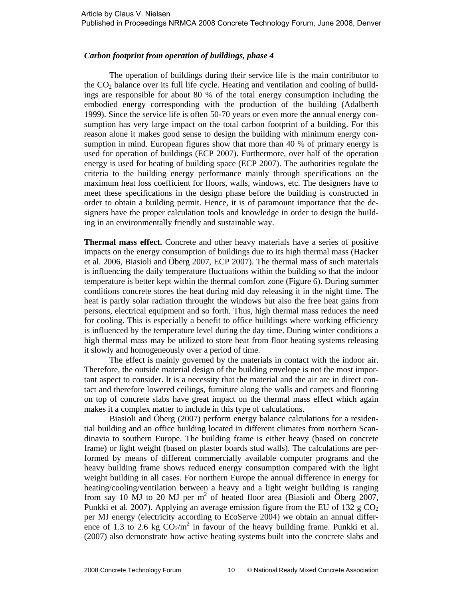### *Carbon footprint from operation of buildings, phase 4*

The operation of buildings during their service life is the main contributor to the  $CO<sub>2</sub>$  balance over its full life cycle. Heating and ventilation and cooling of buildings are responsible for about 80 % of the total energy consumption including the embodied energy corresponding with the production of the building (Adalberth 1999). Since the service life is often 50-70 years or even more the annual energy consumption has very large impact on the total carbon footprint of a building. For this reason alone it makes good sense to design the building with minimum energy consumption in mind. European figures show that more than 40 % of primary energy is used for operation of buildings (ECP 2007). Furthermore, over half of the operation energy is used for heating of building space (ECP 2007). The authorities regulate the criteria to the building energy performance mainly through specifications on the maximum heat loss coefficient for floors, walls, windows, etc. The designers have to meet these specifications in the design phase before the building is constructed in order to obtain a building permit. Hence, it is of paramount importance that the designers have the proper calculation tools and knowledge in order to design the building in an environmentally friendly and sustainable way.

**Thermal mass effect.** Concrete and other heavy materials have a series of positive impacts on the energy consumption of buildings due to its high thermal mass (Hacker et al. 2006, Biasioli and Öberg 2007, ECP 2007). The thermal mass of such materials is influencing the daily temperature fluctuations within the building so that the indoor temperature is better kept within the thermal comfort zone (Figure 6). During summer conditions concrete stores the heat during mid day releasing it in the night time. The heat is partly solar radiation throught the windows but also the free heat gains from persons, electrical equipment and so forth. Thus, high thermal mass reduces the need for cooling. This is especially a benefit to office buildings where working efficiency is influenced by the temperature level during the day time. During winter conditions a high thermal mass may be utilized to store heat from floor heating systems releasing it slowly and homogeneously over a period of time.

The effect is mainly governed by the materials in contact with the indoor air. Therefore, the outside material design of the building envelope is not the most important aspect to consider. It is a necessity that the material and the air are in direct contact and therefore lowered ceilings, furniture along the walls and carpets and flooring on top of concrete slabs have great impact on the thermal mass effect which again makes it a complex matter to include in this type of calculations.

Biasioli and Öberg (2007) perform energy balance calculations for a residential building and an office building located in different climates from northern Scandinavia to southern Europe. The building frame is either heavy (based on concrete frame) or light weight (based on plaster boards stud walls). The calculations are performed by means of different commercially available computer programs and the heavy building frame shows reduced energy consumption compared with the light weight building in all cases. For northern Europe the annual difference in energy for heating/cooling/ventilation between a heavy and a light weight building is ranging from say 10 MJ to 20 MJ per  $m^2$  of heated floor area (Biasioli and Öberg 2007, Punkki et al. 2007). Applying an average emission figure from the EU of 132 g  $CO<sub>2</sub>$ per MJ energy (electricity according to EcoServe 2004) we obtain an annual difference of 1.3 to 2.6 kg  $CO_2/m^2$  in favour of the heavy building frame. Punkki et al. (2007) also demonstrate how active heating systems built into the concrete slabs and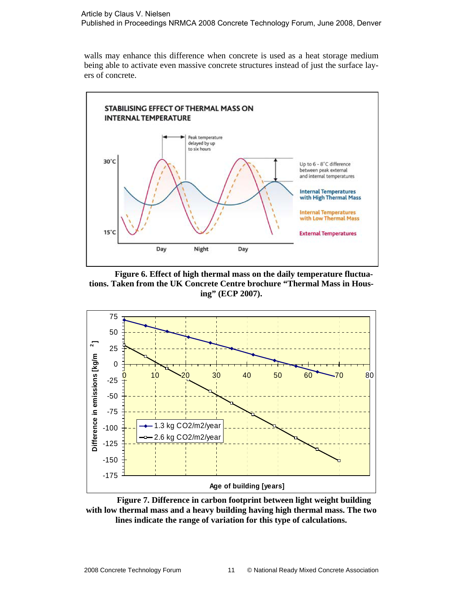#### Article by Claus V. Nielsen Published in Proceedings NRMCA 2008 Concrete Technology Forum, June 2008, Denver

walls may enhance this difference when concrete is used as a heat storage medium being able to activate even massive concrete structures instead of just the surface layers of concrete.



**Figure 6. Effect of high thermal mass on the daily temperature fluctuations. Taken from the UK Concrete Centre brochure "Thermal Mass in Housing" (ECP 2007).** 



**Figure 7. Difference in carbon footprint between light weight building with low thermal mass and a heavy building having high thermal mass. The two lines indicate the range of variation for this type of calculations.**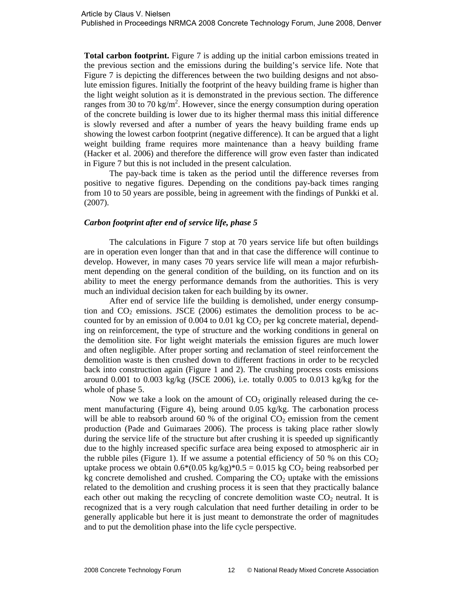**Total carbon footprint.** Figure 7 is adding up the initial carbon emissions treated in the previous section and the emissions during the building's service life. Note that Figure 7 is depicting the differences between the two building designs and not absolute emission figures. Initially the footprint of the heavy building frame is higher than the light weight solution as it is demonstrated in the previous section. The difference ranges from  $30$  to  $70 \text{ kg/m}^2$ . However, since the energy consumption during operation of the concrete building is lower due to its higher thermal mass this initial difference is slowly reversed and after a number of years the heavy building frame ends up showing the lowest carbon footprint (negative difference). It can be argued that a light weight building frame requires more maintenance than a heavy building frame (Hacker et al. 2006) and therefore the difference will grow even faster than indicated in Figure 7 but this is not included in the present calculation.

The pay-back time is taken as the period until the difference reverses from positive to negative figures. Depending on the conditions pay-back times ranging from 10 to 50 years are possible, being in agreement with the findings of Punkki et al. (2007).

## *Carbon footprint after end of service life, phase 5*

The calculations in Figure 7 stop at 70 years service life but often buildings are in operation even longer than that and in that case the difference will continue to develop. However, in many cases 70 years service life will mean a major refurbishment depending on the general condition of the building, on its function and on its ability to meet the energy performance demands from the authorities. This is very much an individual decision taken for each building by its owner.

After end of service life the building is demolished, under energy consumption and  $CO<sub>2</sub>$  emissions. JSCE (2006) estimates the demolition process to be accounted for by an emission of 0.004 to 0.01 kg  $CO<sub>2</sub>$  per kg concrete material, depending on reinforcement, the type of structure and the working conditions in general on the demolition site. For light weight materials the emission figures are much lower and often negligible. After proper sorting and reclamation of steel reinforcement the demolition waste is then crushed down to different fractions in order to be recycled back into construction again (Figure 1 and 2). The crushing process costs emissions around 0.001 to 0.003 kg/kg (JSCE 2006), i.e. totally 0.005 to 0.013 kg/kg for the whole of phase 5.

Now we take a look on the amount of  $CO<sub>2</sub>$  originally released during the cement manufacturing (Figure 4), being around 0.05 kg/kg. The carbonation process will be able to reabsorb around 60 % of the original  $CO<sub>2</sub>$  emission from the cement production (Pade and Guimaraes 2006). The process is taking place rather slowly during the service life of the structure but after crushing it is speeded up significantly due to the highly increased specific surface area being exposed to atmospheric air in the rubble piles (Figure 1). If we assume a potential efficiency of 50 % on this  $CO<sub>2</sub>$ uptake process we obtain  $0.6*(0.05 \text{ kg/kg})*0.5 = 0.015 \text{ kg CO}_2$  being reabsorbed per kg concrete demolished and crushed. Comparing the  $CO<sub>2</sub>$  uptake with the emissions related to the demolition and crushing process it is seen that they practically balance each other out making the recycling of concrete demolition waste  $CO<sub>2</sub>$  neutral. It is recognized that is a very rough calculation that need further detailing in order to be generally applicable but here it is just meant to demonstrate the order of magnitudes and to put the demolition phase into the life cycle perspective.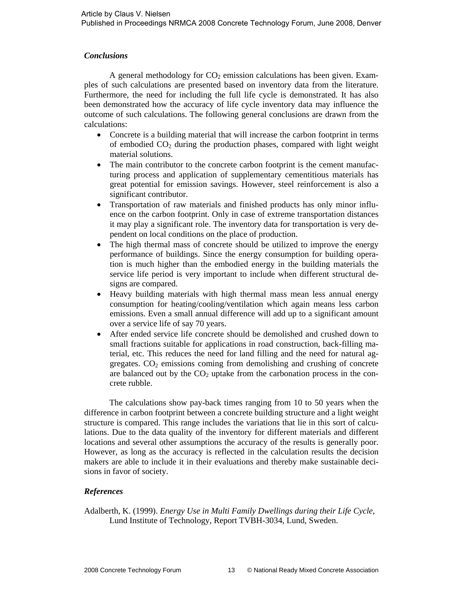## *Conclusions*

A general methodology for  $CO<sub>2</sub>$  emission calculations has been given. Examples of such calculations are presented based on inventory data from the literature. Furthermore, the need for including the full life cycle is demonstrated. It has also been demonstrated how the accuracy of life cycle inventory data may influence the outcome of such calculations. The following general conclusions are drawn from the calculations:

- Concrete is a building material that will increase the carbon footprint in terms of embodied  $CO<sub>2</sub>$  during the production phases, compared with light weight material solutions.
- The main contributor to the concrete carbon footprint is the cement manufacturing process and application of supplementary cementitious materials has great potential for emission savings. However, steel reinforcement is also a significant contributor.
- Transportation of raw materials and finished products has only minor influence on the carbon footprint. Only in case of extreme transportation distances it may play a significant role. The inventory data for transportation is very dependent on local conditions on the place of production.
- The high thermal mass of concrete should be utilized to improve the energy performance of buildings. Since the energy consumption for building operation is much higher than the embodied energy in the building materials the service life period is very important to include when different structural designs are compared.
- Heavy building materials with high thermal mass mean less annual energy consumption for heating/cooling/ventilation which again means less carbon emissions. Even a small annual difference will add up to a significant amount over a service life of say 70 years.
- After ended service life concrete should be demolished and crushed down to small fractions suitable for applications in road construction, back-filling material, etc. This reduces the need for land filling and the need for natural aggregates.  $CO<sub>2</sub>$  emissions coming from demolishing and crushing of concrete are balanced out by the  $CO<sub>2</sub>$  uptake from the carbonation process in the concrete rubble.

The calculations show pay-back times ranging from 10 to 50 years when the difference in carbon footprint between a concrete building structure and a light weight structure is compared. This range includes the variations that lie in this sort of calculations. Due to the data quality of the inventory for different materials and different locations and several other assumptions the accuracy of the results is generally poor. However, as long as the accuracy is reflected in the calculation results the decision makers are able to include it in their evaluations and thereby make sustainable decisions in favor of society.

# *References*

Adalberth, K. (1999). *Energy Use in Multi Family Dwellings during their Life Cycle*, Lund Institute of Technology, Report TVBH-3034, Lund, Sweden.